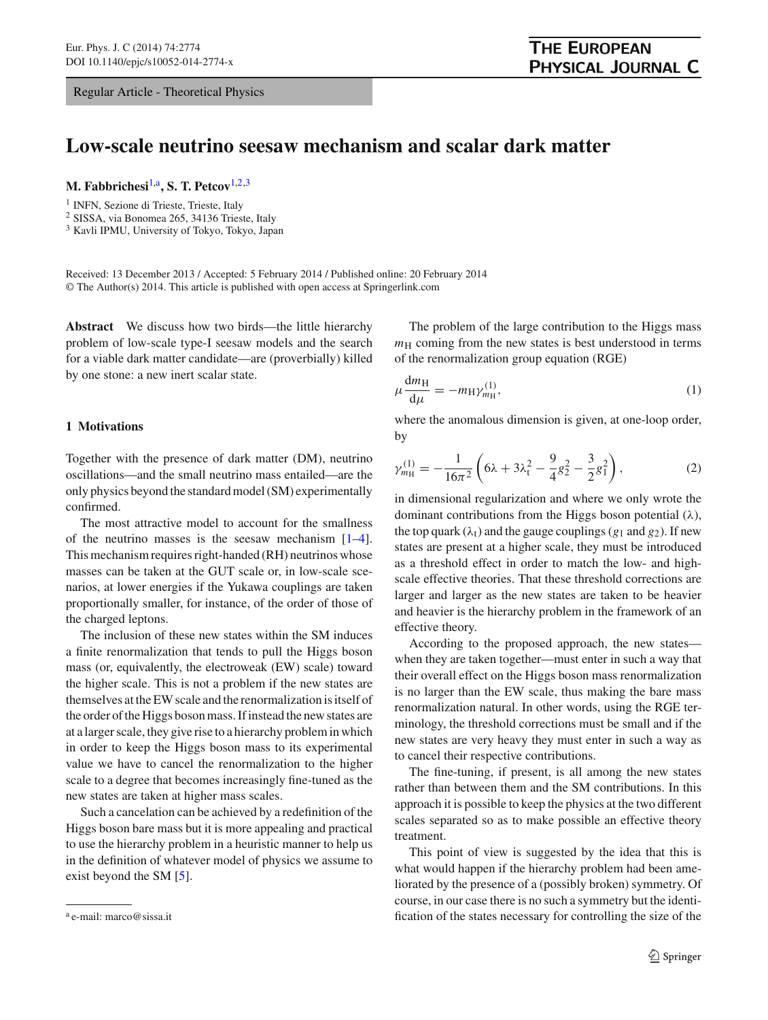Regular Article - Theoretical Physics

## **THE EUROPEAN** PHYSICAL JOURNAL C

# **Low-scale neutrino seesaw mechanism and scalar dark matter**

**M. Fabbrichesi<sup>[1,](#page-0-0)a</sup>, S. T. Petcov**<sup>[1,2](#page-0-0)[,3](#page-0-1)</sup>

<span id="page-0-0"></span><sup>1</sup> INFN, Sezione di Trieste, Trieste, Italy

<sup>2</sup> SISSA, via Bonomea 265, 34136 Trieste, Italy

<sup>3</sup> Kavli IPMU, University of Tokyo, Tokyo, Japan

Received: 13 December 2013 / Accepted: 5 February 2014 / Published online: 20 February 2014 © The Author(s) 2014. This article is published with open access at Springerlink.com

**Abstract** We discuss how two birds—the little hierarchy problem of low-scale type-I seesaw models and the search for a viable dark matter candidate—are (proverbially) killed by one stone: a new inert scalar state.

## **1 Motivations**

Together with the presence of dark matter (DM), neutrino oscillations—and the small neutrino mass entailed—are the only physics beyond the standard model (SM) experimentally confirmed.

The most attractive model to account for the smallness of the neutrino masses is the seesaw mechanism [\[1](#page-5-0)[–4](#page-5-1)]. This mechanism requires right-handed (RH) neutrinos whose masses can be taken at the GUT scale or, in low-scale scenarios, at lower energies if the Yukawa couplings are taken proportionally smaller, for instance, of the order of those of the charged leptons.

The inclusion of these new states within the SM induces a finite renormalization that tends to pull the Higgs boson mass (or, equivalently, the electroweak (EW) scale) toward the higher scale. This is not a problem if the new states are themselves at the EW scale and the renormalization is itself of the order of the Higgs boson mass. If instead the new states are at a larger scale, they give rise to a hierarchy problem in which in order to keep the Higgs boson mass to its experimental value we have to cancel the renormalization to the higher scale to a degree that becomes increasingly fine-tuned as the new states are taken at higher mass scales.

Such a cancelation can be achieved by a redefinition of the Higgs boson bare mass but it is more appealing and practical to use the hierarchy problem in a heuristic manner to help us in the definition of whatever model of physics we assume to exist beyond the SM [\[5\]](#page-5-2).

<span id="page-0-1"></span>The problem of the large contribution to the Higgs mass  $m<sub>H</sub>$  coming from the new states is best understood in terms of the renormalization group equation (RGE)

$$
\mu \frac{\mathrm{d}m_{\mathrm{H}}}{\mathrm{d}\mu} = -m_{\mathrm{H}} \gamma_{m_{\mathrm{H}}}^{(1)},\tag{1}
$$

where the anomalous dimension is given, at one-loop order, by

$$
\gamma_{m_{\rm H}}^{(1)} = -\frac{1}{16\pi^2} \left( 6\lambda + 3\lambda_{\rm t}^2 - \frac{9}{4} g_2^2 - \frac{3}{2} g_1^2 \right),\tag{2}
$$

in dimensional regularization and where we only wrote the dominant contributions from the Higgs boson potential  $(\lambda)$ , the top quark  $(\lambda_t)$  and the gauge couplings  $(g_1 \text{ and } g_2)$ . If new states are present at a higher scale, they must be introduced as a threshold effect in order to match the low- and highscale effective theories. That these threshold corrections are larger and larger as the new states are taken to be heavier and heavier is the hierarchy problem in the framework of an effective theory.

According to the proposed approach, the new states when they are taken together—must enter in such a way that their overall effect on the Higgs boson mass renormalization is no larger than the EW scale, thus making the bare mass renormalization natural. In other words, using the RGE terminology, the threshold corrections must be small and if the new states are very heavy they must enter in such a way as to cancel their respective contributions.

The fine-tuning, if present, is all among the new states rather than between them and the SM contributions. In this approach it is possible to keep the physics at the two different scales separated so as to make possible an effective theory treatment.

This point of view is suggested by the idea that this is what would happen if the hierarchy problem had been ameliorated by the presence of a (possibly broken) symmetry. Of course, in our case there is no such a symmetry but the identification of the states necessary for controlling the size of the

<sup>a</sup> e-mail: marco@sissa.it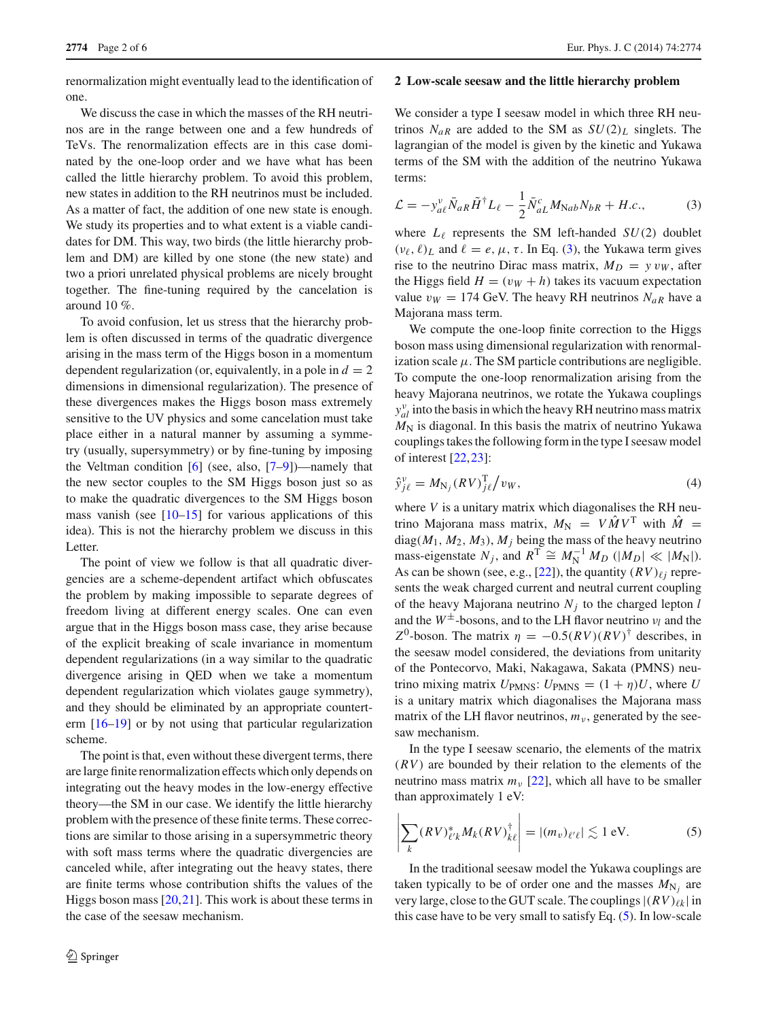renormalization might eventually lead to the identification of one.

We discuss the case in which the masses of the RH neutrinos are in the range between one and a few hundreds of TeVs. The renormalization effects are in this case dominated by the one-loop order and we have what has been called the little hierarchy problem. To avoid this problem, new states in addition to the RH neutrinos must be included. As a matter of fact, the addition of one new state is enough. We study its properties and to what extent is a viable candidates for DM. This way, two birds (the little hierarchy problem and DM) are killed by one stone (the new state) and two a priori unrelated physical problems are nicely brought together. The fine-tuning required by the cancelation is around 10 %.

To avoid confusion, let us stress that the hierarchy problem is often discussed in terms of the quadratic divergence arising in the mass term of the Higgs boson in a momentum dependent regularization (or, equivalently, in a pole in  $d = 2$ dimensions in dimensional regularization). The presence of these divergences makes the Higgs boson mass extremely sensitive to the UV physics and some cancelation must take place either in a natural manner by assuming a symmetry (usually, supersymmetry) or by fine-tuning by imposing the Veltman condition  $[6]$  $[6]$  (see, also,  $[7-9]$  $[7-9]$ )—namely that the new sector couples to the SM Higgs boson just so as to make the quadratic divergences to the SM Higgs boson mass vanish (see  $[10-15]$  $[10-15]$  for various applications of this idea). This is not the hierarchy problem we discuss in this Letter.

The point of view we follow is that all quadratic divergencies are a scheme-dependent artifact which obfuscates the problem by making impossible to separate degrees of freedom living at different energy scales. One can even argue that in the Higgs boson mass case, they arise because of the explicit breaking of scale invariance in momentum dependent regularizations (in a way similar to the quadratic divergence arising in QED when we take a momentum dependent regularization which violates gauge symmetry), and they should be eliminated by an appropriate counterterm [\[16](#page-5-9)[–19\]](#page-5-10) or by not using that particular regularization scheme.

The point is that, even without these divergent terms, there are large finite renormalization effects which only depends on integrating out the heavy modes in the low-energy effective theory—the SM in our case. We identify the little hierarchy problem with the presence of these finite terms. These corrections are similar to those arising in a supersymmetric theory with soft mass terms where the quadratic divergencies are canceled while, after integrating out the heavy states, there are finite terms whose contribution shifts the values of the Higgs boson mass  $[20, 21]$  $[20, 21]$ . This work is about these terms in the case of the seesaw mechanism.

### **2 Low-scale seesaw and the little hierarchy problem**

We consider a type I seesaw model in which three RH neutrinos  $N_{aR}$  are added to the SM as  $SU(2)_L$  singlets. The lagrangian of the model is given by the kinetic and Yukawa terms of the SM with the addition of the neutrino Yukawa terms:

<span id="page-1-0"></span>
$$
\mathcal{L} = -y_{a\ell}^{\nu} \bar{N}_{aR} \tilde{H}^{\dagger} L_{\ell} - \frac{1}{2} \bar{N}_{aL}^{c} M_{\text{N}ab} N_{bR} + H.c., \tag{3}
$$

where  $L_{\ell}$  represents the SM left-handed  $SU(2)$  doublet  $(v_{\ell}, \ell)$ <sub>L</sub> and  $\ell = e, \mu, \tau$ . In Eq. [\(3\)](#page-1-0), the Yukawa term gives rise to the neutrino Dirac mass matrix,  $M_D = y v_W$ , after the Higgs field  $H = (v_W + h)$  takes its vacuum expectation value  $v_W = 174$  GeV. The heavy RH neutrinos  $N_{aR}$  have a Majorana mass term.

We compute the one-loop finite correction to the Higgs boson mass using dimensional regularization with renormalization scale  $\mu$ . The SM particle contributions are negligible. To compute the one-loop renormalization arising from the heavy Majorana neutrinos, we rotate the Yukawa couplings  $y_{al}^{\nu}$  into the basis in which the heavy RH neutrino mass matrix  $M_N$  is diagonal. In this basis the matrix of neutrino Yukawa couplings takes the following form in the type I seesaw model of interest [\[22](#page-5-13)[,23](#page-5-14)]:

$$
\hat{y}_{j\ell}^{\nu} = M_{N_j}(RV)^{\mathrm{T}}_{j\ell}/v_W, \tag{4}
$$

where *V* is a unitary matrix which diagonalises the RH neutrino Majorana mass matrix,  $M_N = V \hat{M} V^T$  with  $\hat{M} =$  $diag(M_1, M_2, M_3)$ ,  $M_j$  being the mass of the heavy neutrino mass-eigenstate  $N_j$ , and  $R^T \cong M_N^{-1} M_D$  (|*M<sub>D</sub>*| ≪ |*M*<sub>N</sub>|). As can be shown (see, e.g., [\[22\]](#page-5-13)), the quantity  $(RV)_{\ell i}$  represents the weak charged current and neutral current coupling of the heavy Majorana neutrino  $N_i$  to the charged lepton  $l$ and the  $W^{\pm}$ -bosons, and to the LH flavor neutrino  $v_l$  and the *Z*<sup>0</sup>-boson. The matrix  $\eta = -0.5(RV)(RV)^{\dagger}$  describes, in the seesaw model considered, the deviations from unitarity of the Pontecorvo, Maki, Nakagawa, Sakata (PMNS) neutrino mixing matrix  $U_{PMNS}$ :  $U_{PMNS} = (1 + \eta)U$ , where *U* is a unitary matrix which diagonalises the Majorana mass matrix of the LH flavor neutrinos,  $m<sub>v</sub>$ , generated by the seesaw mechanism.

In the type I seesaw scenario, the elements of the matrix (*RV*) are bounded by their relation to the elements of the neutrino mass matrix  $m<sub>v</sub>$  [\[22](#page-5-13)], which all have to be smaller than approximately 1 eV:

<span id="page-1-1"></span>
$$
\left|\sum_{k} (RV)^*_{\ell' k} M_k (RV)^{\dagger}_{k\ell}\right| = |(m_v)_{\ell'\ell}| \lesssim 1 \text{ eV}.
$$
 (5)

In the traditional seesaw model the Yukawa couplings are taken typically to be of order one and the masses  $M_{N_i}$  are very large, close to the GUT scale. The couplings  $|(RV)_{\ell k}|$  in this case have to be very small to satisfy Eq. [\(5\)](#page-1-1). In low-scale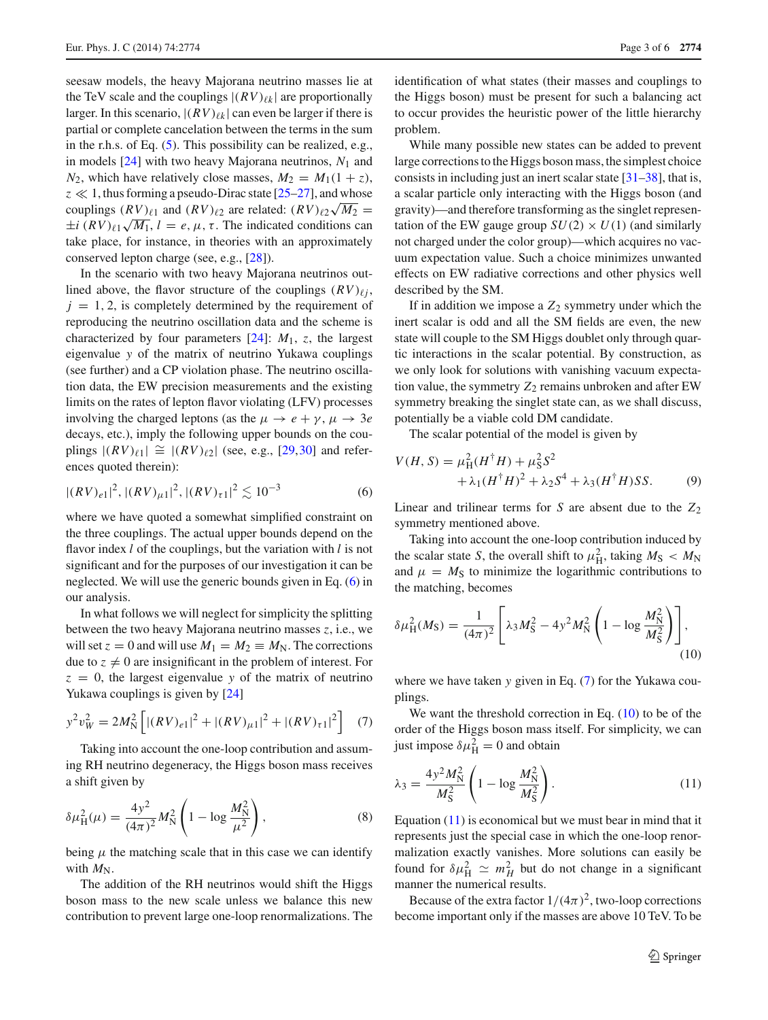seesaw models, the heavy Majorana neutrino masses lie at the TeV scale and the couplings  $|(RV)_{\ell k}|$  are proportionally larger. In this scenario,  $|(RV)_{\ell k}|$  can even be larger if there is partial or complete cancelation between the terms in the sum in the r.h.s. of Eq. [\(5\)](#page-1-1). This possibility can be realized, e.g., in models [\[24](#page-5-15)] with two heavy Majorana neutrinos, *N*<sup>1</sup> and  $N_2$ , which have relatively close masses,  $M_2 = M_1(1 + z)$ ,  $z \ll 1$ , thus forming a pseudo-Dirac state [\[25](#page-5-16)[–27\]](#page-5-17), and whose  $z \ll 1$ , must forming a pseudo-Dirac state  $[25-2^7]$ , and whose<br>couplings  $(RV)_{\ell 1}$  and  $(RV)_{\ell 2}$  are related:  $(RV)_{\ell 2} \sqrt{M_2} =$  $\begin{array}{l}\n\text{couplings } (\mathbf{r} \mathbf{v})_{\ell 1} \text{ and } (\mathbf{r} \mathbf{v})_{\ell 2} \text{ are related: } (\mathbf{r} \mathbf{v})_{\ell 2} \sqrt{m_2} =\n\pm i (\mathbf{R} \mathbf{V})_{\ell 1} \sqrt{M_1}, \, l = e, \mu, \tau. \text{ The indicated conditions can be calculated.}\n\end{array}$ take place, for instance, in theories with an approximately conserved lepton charge (see, e.g., [\[28\]](#page-5-18)).

In the scenario with two heavy Majorana neutrinos outlined above, the flavor structure of the couplings  $(RV)_{\ell i}$ ,  $j = 1, 2$ , is completely determined by the requirement of reproducing the neutrino oscillation data and the scheme is characterized by four parameters  $[24]$ :  $M_1$ , *z*, the largest eigenvalue *y* of the matrix of neutrino Yukawa couplings (see further) and a CP violation phase. The neutrino oscillation data, the EW precision measurements and the existing limits on the rates of lepton flavor violating (LFV) processes involving the charged leptons (as the  $\mu \to e + \gamma$ ,  $\mu \to 3e$ decays, etc.), imply the following upper bounds on the couplings  $|(RV)_{\ell_1}|$  ≅  $|(RV)_{\ell_2}|$  (see, e.g., [\[29](#page-5-19)[,30](#page-5-20)] and references quoted therein):

<span id="page-2-0"></span>
$$
|(RV)_{e1}|^2, |(RV)_{\mu 1}|^2, |(RV)_{\tau 1}|^2 \lesssim 10^{-3}
$$
 (6)

where we have quoted a somewhat simplified constraint on the three couplings. The actual upper bounds depend on the flavor index *l* of the couplings, but the variation with *l* is not significant and for the purposes of our investigation it can be neglected. We will use the generic bounds given in Eq. [\(6\)](#page-2-0) in our analysis.

In what follows we will neglect for simplicity the splitting between the two heavy Majorana neutrino masses *z*, i.e., we will set  $z = 0$  and will use  $M_1 = M_2 \equiv M_N$ . The corrections due to  $z \neq 0$  are insignificant in the problem of interest. For  $z = 0$ , the largest eigenvalue *y* of the matrix of neutrino Yukawa couplings is given by [\[24\]](#page-5-15)

<span id="page-2-1"></span>
$$
y^{2}v_{W}^{2} = 2M_{N}^{2}\left[|(RV)_{e1}|^{2} + |(RV)_{\mu 1}|^{2} + |(RV)_{\tau 1}|^{2}\right] \quad (7)
$$

Taking into account the one-loop contribution and assuming RH neutrino degeneracy, the Higgs boson mass receives a shift given by

$$
\delta \mu_H^2(\mu) = \frac{4y^2}{(4\pi)^2} M_N^2 \left( 1 - \log \frac{M_N^2}{\mu^2} \right),\tag{8}
$$

being  $\mu$  the matching scale that in this case we can identify with  $M_N$ .

The addition of the RH neutrinos would shift the Higgs boson mass to the new scale unless we balance this new contribution to prevent large one-loop renormalizations. The identification of what states (their masses and couplings to the Higgs boson) must be present for such a balancing act to occur provides the heuristic power of the little hierarchy problem.

While many possible new states can be added to prevent large corrections to the Higgs boson mass, the simplest choice consists in including just an inert scalar state [\[31](#page-5-21)[–38](#page-5-22)], that is, a scalar particle only interacting with the Higgs boson (and gravity)—and therefore transforming as the singlet representation of the EW gauge group  $SU(2) \times U(1)$  (and similarly not charged under the color group)—which acquires no vacuum expectation value. Such a choice minimizes unwanted effects on EW radiative corrections and other physics well described by the SM.

If in addition we impose a  $Z_2$  symmetry under which the inert scalar is odd and all the SM fields are even, the new state will couple to the SM Higgs doublet only through quartic interactions in the scalar potential. By construction, as we only look for solutions with vanishing vacuum expectation value, the symmetry  $Z_2$  remains unbroken and after EW symmetry breaking the singlet state can, as we shall discuss, potentially be a viable cold DM candidate.

The scalar potential of the model is given by

<span id="page-2-4"></span>
$$
V(H, S) = \mu_{\rm H}^{2}(H^{\dagger}H) + \mu_{\rm S}^{2}S^{2} + \lambda_{1}(H^{\dagger}H)^{2} + \lambda_{2}S^{4} + \lambda_{3}(H^{\dagger}H)SS.
$$
 (9)

Linear and trilinear terms for *S* are absent due to the  $Z_2$ symmetry mentioned above.

Taking into account the one-loop contribution induced by the scalar state *S*, the overall shift to  $\mu_H^2$ , taking  $M_S < M_N$ and  $\mu = M<sub>S</sub>$  to minimize the logarithmic contributions to the matching, becomes

<span id="page-2-2"></span>
$$
\delta \mu_H^2(M_S) = \frac{1}{(4\pi)^2} \left[ \lambda_3 M_S^2 - 4y^2 M_N^2 \left( 1 - \log \frac{M_N^2}{M_S^2} \right) \right],\tag{10}
$$

where we have taken *y* given in Eq. [\(7\)](#page-2-1) for the Yukawa couplings.

We want the threshold correction in Eq.  $(10)$  to be of the order of the Higgs boson mass itself. For simplicity, we can just impose  $\delta \mu_H^2 = 0$  and obtain

<span id="page-2-3"></span>
$$
\lambda_3 = \frac{4y^2 M_{\rm N}^2}{M_{\rm S}^2} \left( 1 - \log \frac{M_{\rm N}^2}{M_{\rm S}^2} \right). \tag{11}
$$

Equation  $(11)$  is economical but we must bear in mind that it represents just the special case in which the one-loop renormalization exactly vanishes. More solutions can easily be found for  $\delta \mu_H^2 \simeq m_H^2$  but do not change in a significant manner the numerical results.

Because of the extra factor  $1/(4\pi)^2$ , two-loop corrections become important only if the masses are above 10 TeV. To be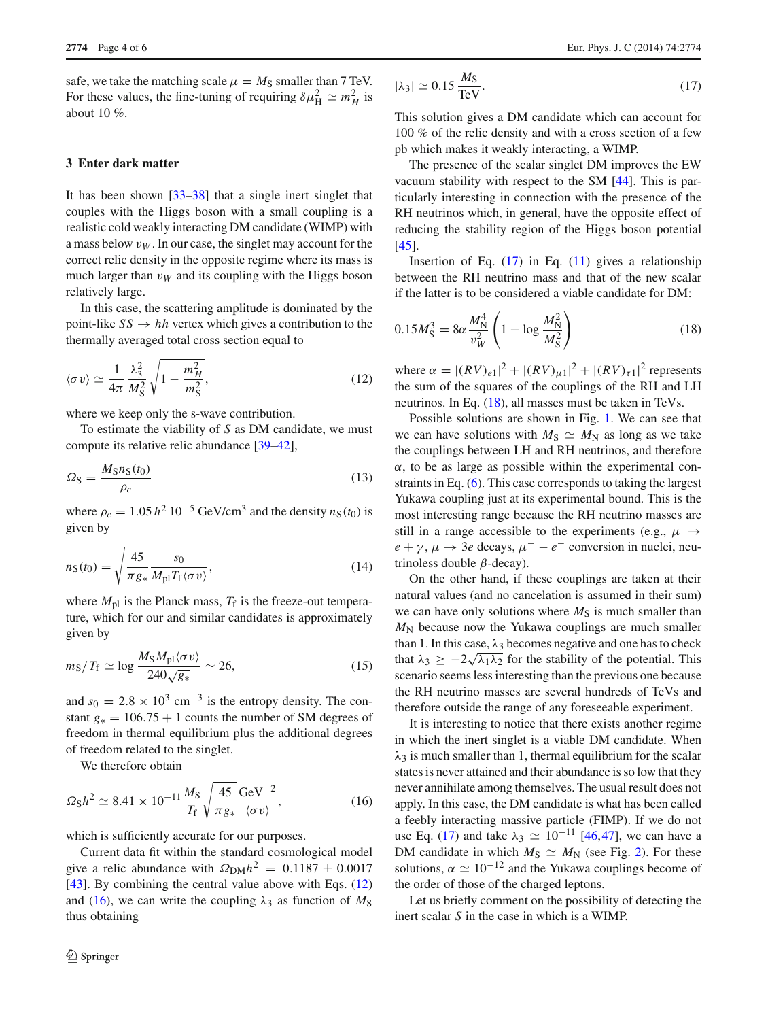safe, we take the matching scale  $\mu = M_S$  smaller than 7 TeV. For these values, the fine-tuning of requiring  $\delta \mu_H^2 \simeq m_H^2$  is about 10 %.

## **3 Enter dark matter**

It has been shown [\[33](#page-5-23)[–38](#page-5-22)] that a single inert singlet that couples with the Higgs boson with a small coupling is a realistic cold weakly interacting DM candidate (WIMP) with a mass below  $v_W$ . In our case, the singlet may account for the correct relic density in the opposite regime where its mass is much larger than  $v_W$  and its coupling with the Higgs boson relatively large.

In this case, the scattering amplitude is dominated by the point-like  $SS \rightarrow hh$  vertex which gives a contribution to the thermally averaged total cross section equal to

<span id="page-3-0"></span>
$$
\langle \sigma v \rangle \simeq \frac{1}{4\pi} \frac{\lambda_3^2}{M_S^2} \sqrt{1 - \frac{m_H^2}{m_S^2}},\tag{12}
$$

where we keep only the s-wave contribution.

To estimate the viability of *S* as DM candidate, we must compute its relative relic abundance [\[39](#page-5-24)[–42](#page-5-25)],

$$
\Omega_{\rm S} = \frac{M_{\rm S} n_{\rm S}(t_0)}{\rho_c} \tag{13}
$$

where  $\rho_c = 1.05 h^2 10^{-5}$  GeV/cm<sup>3</sup> and the density  $n_S(t_0)$  is given by

$$
n_{\rm S}(t_0) = \sqrt{\frac{45}{\pi g_*}} \frac{s_0}{M_{\rm pl} T_{\rm f} \langle \sigma v \rangle},\tag{14}
$$

where  $M_{\text{pl}}$  is the Planck mass,  $T_f$  is the freeze-out temperature, which for our and similar candidates is approximately given by

$$
m_{\rm S}/T_{\rm f} \simeq \log \frac{M_{\rm S} M_{\rm pl} \langle \sigma v \rangle}{240 \sqrt{g_*}} \sim 26,\tag{15}
$$

and  $s_0 = 2.8 \times 10^3$  cm<sup>-3</sup> is the entropy density. The constant  $g_* = 106.75 + 1$  counts the number of SM degrees of freedom in thermal equilibrium plus the additional degrees of freedom related to the singlet.

We therefore obtain

<span id="page-3-1"></span>
$$
\Omega_S h^2 \simeq 8.41 \times 10^{-11} \frac{M_S}{T_f} \sqrt{\frac{45}{\pi g_*}} \frac{\text{GeV}^{-2}}{\langle \sigma v \rangle},\tag{16}
$$

which is sufficiently accurate for our purposes.

Current data fit within the standard cosmological model give a relic abundance with  $\Omega_{\text{DM}}h^2 = 0.1187 \pm 0.0017$ [\[43](#page-5-26)]. By combining the central value above with Eqs. [\(12\)](#page-3-0) and [\(16\)](#page-3-1), we can write the coupling  $\lambda_3$  as function of  $M_s$ thus obtaining

<span id="page-3-2"></span>
$$
|\lambda_3| \simeq 0.15 \frac{M_S}{\text{TeV}}.\tag{17}
$$

This solution gives a DM candidate which can account for 100 % of the relic density and with a cross section of a few pb which makes it weakly interacting, a WIMP.

The presence of the scalar singlet DM improves the EW vacuum stability with respect to the SM [\[44\]](#page-5-27). This is particularly interesting in connection with the presence of the RH neutrinos which, in general, have the opposite effect of reducing the stability region of the Higgs boson potential [\[45](#page-5-28)].

Insertion of Eq.  $(17)$  in Eq.  $(11)$  gives a relationship between the RH neutrino mass and that of the new scalar if the latter is to be considered a viable candidate for DM:

<span id="page-3-3"></span>
$$
0.15M_{\rm S}^3 = 8\alpha \frac{M_{\rm N}^4}{v_W^2} \left(1 - \log \frac{M_{\rm N}^2}{M_{\rm S}^2}\right) \tag{18}
$$

where  $\alpha = |(RV)_{e1}|^2 + |(RV)_{\mu 1}|^2 + |(RV)_{\tau 1}|^2$  represents the sum of the squares of the couplings of the RH and LH neutrinos. In Eq. [\(18\)](#page-3-3), all masses must be taken in TeVs.

Possible solutions are shown in Fig. [1.](#page-4-0) We can see that we can have solutions with  $M_S \simeq M_N$  as long as we take the couplings between LH and RH neutrinos, and therefore  $\alpha$ , to be as large as possible within the experimental constraints in Eq. [\(6\)](#page-2-0). This case corresponds to taking the largest Yukawa coupling just at its experimental bound. This is the most interesting range because the RH neutrino masses are still in a range accessible to the experiments (e.g.,  $\mu \rightarrow$  $e + \gamma$ ,  $\mu \rightarrow 3e$  decays,  $\mu^- - e^-$  conversion in nuclei, neutrinoless double  $\beta$ -decay).

On the other hand, if these couplings are taken at their natural values (and no cancelation is assumed in their sum) we can have only solutions where  $M<sub>S</sub>$  is much smaller than  $M_N$  because now the Yukawa couplings are much smaller than 1. In this case,  $\lambda_3$  becomes negative and one has to check that  $\lambda_3 \ge -2\sqrt{\lambda_1\lambda_2}$  for the stability of the potential. This scenario seems less interesting than the previous one because the RH neutrino masses are several hundreds of TeVs and therefore outside the range of any foreseeable experiment.

It is interesting to notice that there exists another regime in which the inert singlet is a viable DM candidate. When  $\lambda_3$  is much smaller than 1, thermal equilibrium for the scalar states is never attained and their abundance is so low that they never annihilate among themselves. The usual result does not apply. In this case, the DM candidate is what has been called a feebly interacting massive particle (FIMP). If we do not use Eq. [\(17\)](#page-3-2) and take  $\lambda_3 \simeq 10^{-11}$  [\[46,](#page-5-29)[47\]](#page-5-30), we can have a DM candidate in which  $M_S \simeq M_N$  (see Fig. [2\)](#page-4-1). For these solutions,  $\alpha \simeq 10^{-12}$  and the Yukawa couplings become of the order of those of the charged leptons.

Let us briefly comment on the possibility of detecting the inert scalar *S* in the case in which is a WIMP.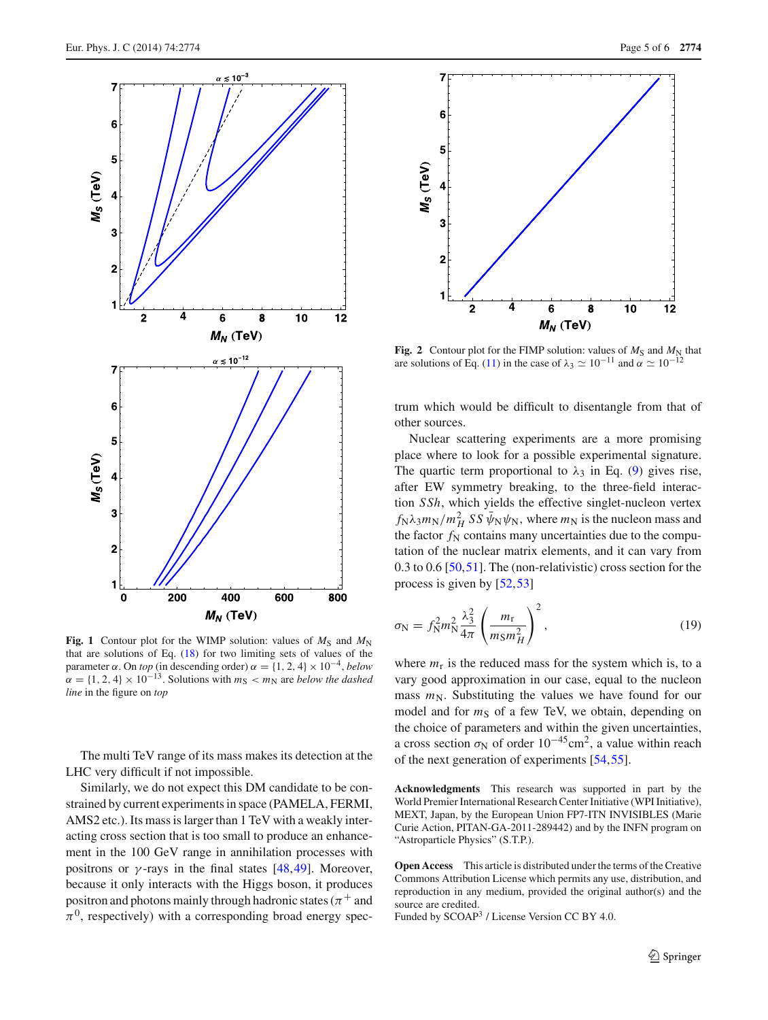

<span id="page-4-0"></span>**Fig. 1** Contour plot for the WIMP solution: values of  $M<sub>S</sub>$  and  $M<sub>N</sub>$ that are solutions of Eq. [\(18\)](#page-3-3) for two limiting sets of values of the parameter  $\alpha$ . On *top* (in descending order)  $\alpha = \{1, 2, 4\} \times 10^{-4}$ , *below*  $\alpha = \{1, 2, 4\} \times 10^{-13}$ . Solutions with  $m<sub>S</sub> < m<sub>N</sub>$  are *below the dashed line* in the figure on *top*

The multi TeV range of its mass makes its detection at the LHC very difficult if not impossible.

Similarly, we do not expect this DM candidate to be constrained by current experiments in space (PAMELA, FERMI, AMS2 etc.). Its mass is larger than 1 TeV with a weakly interacting cross section that is too small to produce an enhancement in the 100 GeV range in annihilation processes with positrons or  $\gamma$ -rays in the final states [\[48](#page-5-31)[,49](#page-5-32)]. Moreover, because it only interacts with the Higgs boson, it produces positron and photons mainly through hadronic states ( $\pi^+$  and  $\pi^0$ , respectively) with a corresponding broad energy spec-



<span id="page-4-1"></span>**Fig. 2** Contour plot for the FIMP solution: values of  $M<sub>S</sub>$  and  $M<sub>N</sub>$  that are solutions of Eq. [\(11\)](#page-2-3) in the case of  $\lambda_3 \simeq 10^{-11}$  and  $\alpha \simeq 10^{-12}$ 

trum which would be difficult to disentangle from that of other sources.

Nuclear scattering experiments are a more promising place where to look for a possible experimental signature. The quartic term proportional to  $\lambda_3$  in Eq. [\(9\)](#page-2-4) gives rise, after EW symmetry breaking, to the three-field interaction *SSh*, which yields the effective singlet-nucleon vertex  $f_N \lambda_3 m_N/m_H^2$  *SS*  $\bar{\psi}_N \psi_N$ , where  $m_N$  is the nucleon mass and the factor  $f_N$  contains many uncertainties due to the computation of the nuclear matrix elements, and it can vary from 0.3 to 0.6 [\[50](#page-5-33),[51](#page-5-34)]. The (non-relativistic) cross section for the process is given by [\[52,](#page-5-35)[53\]](#page-5-36)

$$
\sigma_{\rm N} = f_{\rm N}^2 m_{\rm N}^2 \frac{\lambda_3^2}{4\pi} \left( \frac{m_{\rm r}}{m_{\rm S} m_H^2} \right)^2, \tag{19}
$$

where  $m<sub>r</sub>$  is the reduced mass for the system which is, to a vary good approximation in our case, equal to the nucleon mass  $m_N$ . Substituting the values we have found for our model and for  $m<sub>S</sub>$  of a few TeV, we obtain, depending on the choice of parameters and within the given uncertainties, a cross section  $\sigma_N$  of order 10<sup>-45</sup>cm<sup>2</sup>, a value within reach of the next generation of experiments [\[54](#page-5-37)[,55\]](#page-5-38).

**Acknowledgments** This research was supported in part by the World Premier International Research Center Initiative (WPI Initiative), MEXT, Japan, by the European Union FP7-ITN INVISIBLES (Marie Curie Action, PITAN-GA-2011-289442) and by the INFN program on "Astroparticle Physics" (S.T.P.).

**Open Access** This article is distributed under the terms of the Creative Commons Attribution License which permits any use, distribution, and reproduction in any medium, provided the original author(s) and the source are credited.

Funded by SCOAP<sup>3</sup> / License Version CC BY 4.0.